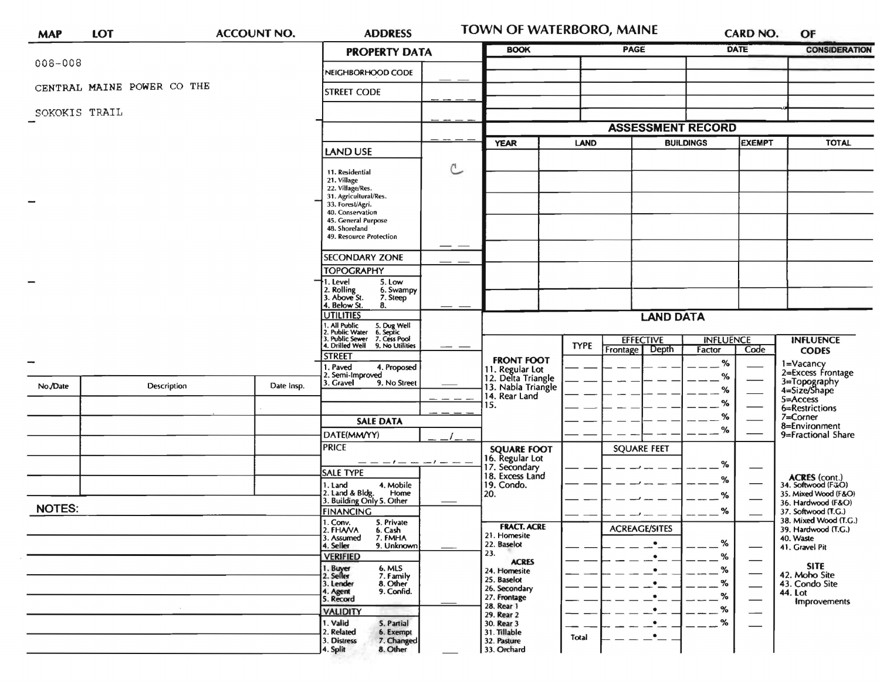| <b>MAP</b>    | LOT                        |  | <b>ACCOUNT NO.</b>                                                                                                                                          | <b>ADDRESS</b>                                                                                                                        |     | TOWN OF WATERBORO, MAINE                                                             |             |                                                  |                  | <b>CARD NO.</b>                | OF                                                                                       |
|---------------|----------------------------|--|-------------------------------------------------------------------------------------------------------------------------------------------------------------|---------------------------------------------------------------------------------------------------------------------------------------|-----|--------------------------------------------------------------------------------------|-------------|--------------------------------------------------|------------------|--------------------------------|------------------------------------------------------------------------------------------|
|               |                            |  |                                                                                                                                                             | <b>PROPERTY DATA</b>                                                                                                                  |     | <b>BOOK</b>                                                                          |             | PAGE                                             | <b>DATE</b>      |                                | <b>CONSIDERATION</b>                                                                     |
| $008 - 008$   |                            |  |                                                                                                                                                             | NEIGHBORHOOD CODE                                                                                                                     |     |                                                                                      |             |                                                  |                  |                                |                                                                                          |
|               | CENTRAL MAINE POWER CO THE |  |                                                                                                                                                             | <b>STREET CODE</b>                                                                                                                    |     |                                                                                      |             |                                                  |                  |                                |                                                                                          |
| SOKOKIS TRAIL |                            |  |                                                                                                                                                             |                                                                                                                                       |     |                                                                                      |             |                                                  |                  |                                |                                                                                          |
|               |                            |  |                                                                                                                                                             |                                                                                                                                       |     |                                                                                      |             | <b>ASSESSMENT RECORD</b>                         |                  |                                |                                                                                          |
|               |                            |  |                                                                                                                                                             | <b>LAND USE</b>                                                                                                                       |     | <b>YEAR</b>                                                                          | <b>LAND</b> |                                                  | <b>BUILDINGS</b> | <b>EXEMPT</b>                  | <b>TOTAL</b>                                                                             |
|               |                            |  | 11. Residential<br>21. Village<br>22. Village/Res.<br>31. Agricultural/Res.<br>33. Forest/Agri.<br>40. Conservation<br>45. General Purpose<br>48. Shoreland | C                                                                                                                                     |     |                                                                                      |             |                                                  |                  |                                |                                                                                          |
|               |                            |  |                                                                                                                                                             | 49. Resource Protection                                                                                                               | — — |                                                                                      |             |                                                  |                  |                                |                                                                                          |
|               |                            |  |                                                                                                                                                             | <b>SECONDARY ZONE</b>                                                                                                                 |     |                                                                                      |             |                                                  |                  |                                |                                                                                          |
|               |                            |  |                                                                                                                                                             | <b>TOPOGRAPHY</b><br>1. Level<br>5. Low<br>2. Rolling<br>3. Above St.<br>6. Swampy<br>7. Steep<br>4. Below St.<br>8.                  |     |                                                                                      |             |                                                  |                  |                                |                                                                                          |
|               |                            |  |                                                                                                                                                             | <b>UTILITIES</b>                                                                                                                      |     |                                                                                      |             | <b>LAND DATA</b>                                 |                  |                                |                                                                                          |
|               |                            |  |                                                                                                                                                             | 1. All Public<br>2. Public Water<br>3. Public Sewer<br>4. Drilled Well<br>5. Dug Well<br>6. Septic<br>7. Cess Pool<br>9. No Utilities |     |                                                                                      | <b>TYPE</b> | <b>EFFECTIVE</b>                                 | <b>INFLUENCE</b> |                                | <b>INFLUENCE</b>                                                                         |
|               |                            |  |                                                                                                                                                             | <b>STREET</b>                                                                                                                         |     | <b>FRONT FOOT</b>                                                                    |             | Depth<br><b>Frontage</b>                         | Factor<br>$\%$   | Code                           | <b>CODES</b>                                                                             |
| No./Date      | Description                |  | Date Insp.                                                                                                                                                  | 1. Paved<br>4. Proposed<br>2. Semi-Improved<br>3. Gravel<br>9. No Street                                                              |     | 11. Regular Lot<br>12. Delta Triangle<br>13. Nabla Triangle<br>14. Rear Land         |             |                                                  | %<br>%           |                                | 1=Vacancy<br>2=Excess Frontage<br>3=Topography<br>4=Size/Shape<br>5=Access               |
|               |                            |  |                                                                                                                                                             |                                                                                                                                       |     | 15.                                                                                  |             |                                                  | $\%$<br>%        |                                | 6=Restrictions<br>7=Corner                                                               |
|               |                            |  |                                                                                                                                                             | <b>SALE DATA</b>                                                                                                                      |     |                                                                                      |             |                                                  | $\%$             |                                | 8=Environment                                                                            |
|               |                            |  |                                                                                                                                                             | DATE(MM/YY)<br><b>PRICE</b>                                                                                                           |     | <b>SQUARE FOOT</b>                                                                   |             | <b>SQUARE FEET</b>                               |                  |                                | 9=Fractional Share                                                                       |
|               |                            |  |                                                                                                                                                             |                                                                                                                                       |     | 16. Regular Lot<br>17. Secondary                                                     |             |                                                  | %                |                                |                                                                                          |
|               |                            |  |                                                                                                                                                             | <b>SALE TYPE</b><br>4. Mobile<br>1. Land<br>2. Land & Bldg. Home<br>3. Building Only 5. Other<br>Home                                 |     | 18. Excess Land<br>19. Condo.<br>20.                                                 |             |                                                  | %<br>$\%$        |                                | <b>ACRES</b> (cont.)<br>34. Softwood (F&O)<br>35. Mixed Wood (F&O)<br>36. Hardwood (F&O) |
| <b>NOTES:</b> |                            |  |                                                                                                                                                             | <b>FINANCING</b><br>1. Conv. 5. Private                                                                                               |     |                                                                                      |             |                                                  | ℅                |                                | 37. Softwood (T.G.)<br>38. Mixed Wood (T.G.)                                             |
|               |                            |  |                                                                                                                                                             | 2. FHAVA<br>6. Cash<br>3. Assumed<br>7. FMHA<br>9. Unknown<br>4. Seller                                                               |     | <b>FRACT. ACRE</b><br>21. Homesite<br>22. Baselot<br>23.                             |             | <b>ACREAGE/SITES</b><br>$\bullet$                | %                |                                | 39. Hardwood (T.G.)<br>40. Waste<br>41. Gravel Pit                                       |
|               |                            |  |                                                                                                                                                             | <b>VERIFIED</b><br>6. MLS<br>1. Buyer<br>7. Family<br>2. Seller<br>8. Other<br>3. Lender<br>9. Confid.<br>4. Agent<br>5. Record       |     | <b>ACRES</b><br>24. Homesite<br>25. Baselot<br>26. Secondary<br>27. Frontage         |             | $\bullet$<br>$\bullet$<br>$\bullet$<br>$\bullet$ | %<br>%<br>%<br>℅ | $\overline{\phantom{0}}$<br>-- | <b>SITE</b><br>42. Moho Site<br>43. Condo Site<br>44. Lot<br>Improvements                |
|               |                            |  |                                                                                                                                                             | <b>VALIDITY</b><br>1. Valid<br>5. Partial<br>2. Related<br>6. Exempt<br>3. Distress<br>7. Changed<br>8. Other<br>4. Split             |     | 28. Rear 1<br>29. Rear 2<br>30. Rear 3<br>31. Tillable<br>32. Pasture<br>33. Orchard | Total       | $\bullet$<br>٠_                                  | %<br>℅           | $\overline{\phantom{0}}$       |                                                                                          |